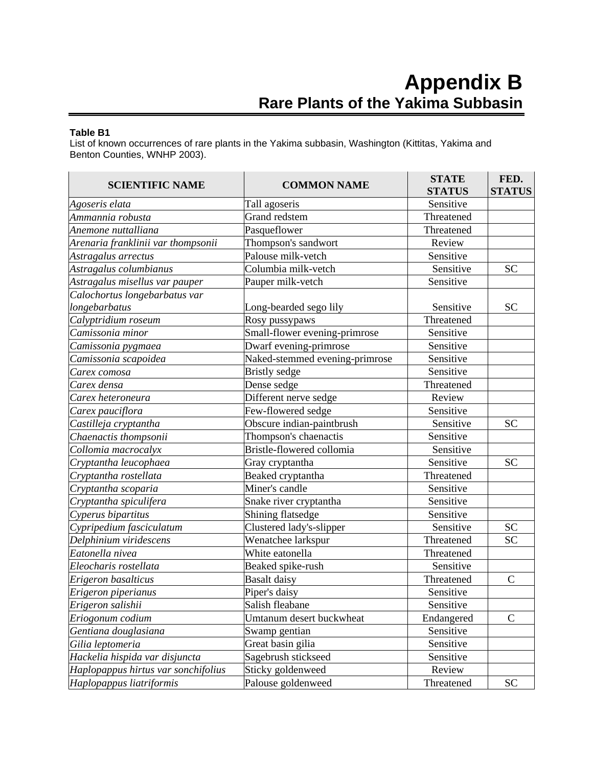## **Table B1**

List of known occurrences of rare plants in the Yakima subbasin, Washington (Kittitas, Yakima and Benton Counties, WNHP 2003).

| <b>SCIENTIFIC NAME</b>              | <b>COMMON NAME</b>             | <b>STATE</b><br><b>STATUS</b> | FED.<br><b>STATUS</b> |
|-------------------------------------|--------------------------------|-------------------------------|-----------------------|
| Agoseris elata                      | Tall agoseris                  | Sensitive                     |                       |
| Ammannia robusta                    | Grand redstem                  | Threatened                    |                       |
| Anemone nuttalliana                 | Pasqueflower                   | Threatened                    |                       |
| Arenaria franklinii var thompsonii  | Thompson's sandwort            | Review                        |                       |
| Astragalus arrectus                 | Palouse milk-vetch             | Sensitive                     |                       |
| Astragalus columbianus              | Columbia milk-vetch            | Sensitive                     | <b>SC</b>             |
| Astragalus misellus var pauper      | Pauper milk-vetch              | Sensitive                     |                       |
| Calochortus longebarbatus var       |                                |                               |                       |
| longebarbatus                       | Long-bearded sego lily         | Sensitive                     | <b>SC</b>             |
| Calyptridium roseum                 | Rosy pussypaws                 | Threatened                    |                       |
| Camissonia minor                    | Small-flower evening-primrose  | Sensitive                     |                       |
| Camissonia pygmaea                  | Dwarf evening-primrose         | Sensitive                     |                       |
| Camissonia scapoidea                | Naked-stemmed evening-primrose | Sensitive                     |                       |
| Carex comosa                        | <b>Bristly</b> sedge           | Sensitive                     |                       |
| Carex densa                         | Dense sedge                    | Threatened                    |                       |
| Carex heteroneura                   | Different nerve sedge          | Review                        |                       |
| Carex pauciflora                    | Few-flowered sedge             | Sensitive                     |                       |
| Castilleja cryptantha               | Obscure indian-paintbrush      | Sensitive                     | <b>SC</b>             |
| Chaenactis thompsonii               | Thompson's chaenactis          | Sensitive                     |                       |
| Collomia macrocalyx                 | Bristle-flowered collomia      | Sensitive                     |                       |
| Cryptantha leucophaea               | Gray cryptantha                | Sensitive                     | <b>SC</b>             |
| Cryptantha rostellata               | Beaked cryptantha              | Threatened                    |                       |
| Cryptantha scoparia                 | Miner's candle                 | Sensitive                     |                       |
| Cryptantha spiculifera              | Snake river cryptantha         | Sensitive                     |                       |
| Cyperus bipartitus                  | Shining flatsedge              | Sensitive                     |                       |
| Cypripedium fasciculatum            | Clustered lady's-slipper       | Sensitive                     | <b>SC</b>             |
| Delphinium viridescens              | Wenatchee larkspur             | Threatened                    | <b>SC</b>             |
| Eatonella nivea                     | White eatonella                | Threatened                    |                       |
| Eleocharis rostellata               | Beaked spike-rush              | Sensitive                     |                       |
| Erigeron basalticus                 | <b>Basalt</b> daisy            | Threatened                    | $\mathbf C$           |
| Erigeron piperianus                 | Piper's daisy                  | Sensitive                     |                       |
| Erigeron salishii                   | Salish fleabane                | Sensitive                     |                       |
| Eriogonum codium                    | Umtanum desert buckwheat       | Endangered                    | $\mathsf{C}$          |
| Gentiana douglasiana                | Swamp gentian                  | Sensitive                     |                       |
| Gilia leptomeria                    | Great basin gilia              | Sensitive                     |                       |
| Hackelia hispida var disjuncta      | Sagebrush stickseed            | Sensitive                     |                       |
| Haplopappus hirtus var sonchifolius | Sticky goldenweed              | Review                        |                       |
| Haplopappus liatriformis            | Palouse goldenweed             | Threatened                    | <b>SC</b>             |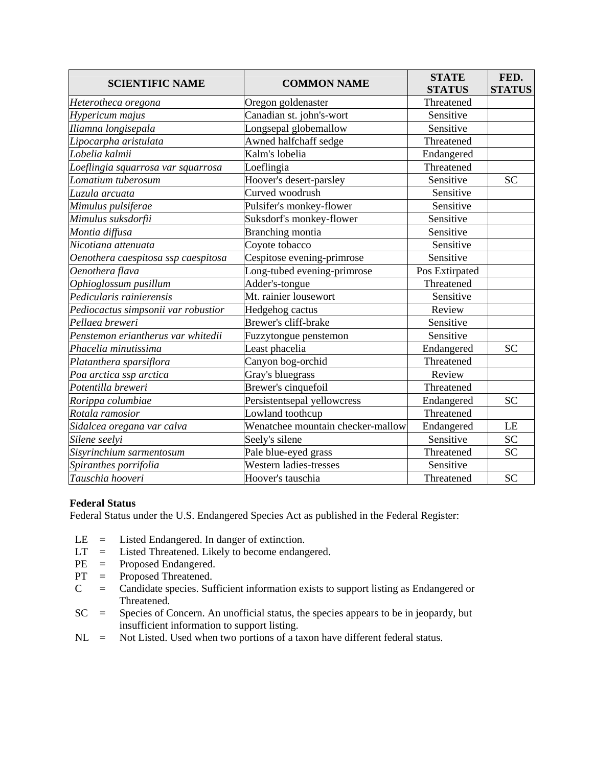| <b>SCIENTIFIC NAME</b>              | <b>COMMON NAME</b>                | <b>STATE</b><br><b>STATUS</b> | FED.<br><b>STATUS</b> |
|-------------------------------------|-----------------------------------|-------------------------------|-----------------------|
| Heterotheca oregona                 | Oregon goldenaster                | Threatened                    |                       |
| Hypericum majus                     | Canadian st. john's-wort          | Sensitive                     |                       |
| Iliamna longisepala                 | Longsepal globemallow             | Sensitive                     |                       |
| Lipocarpha aristulata               | Awned halfchaff sedge             | Threatened                    |                       |
| Lobelia kalmii                      | Kalm's lobelia                    | Endangered                    |                       |
| Loeflingia squarrosa var squarrosa  | Loeflingia                        | Threatened                    |                       |
| Lomatium tuberosum                  | Hoover's desert-parsley           | Sensitive                     | <b>SC</b>             |
| Luzula arcuata                      | Curved woodrush                   | Sensitive                     |                       |
| Mimulus pulsiferae                  | Pulsifer's monkey-flower          | Sensitive                     |                       |
| Mimulus suksdorfii                  | Suksdorf's monkey-flower          | Sensitive                     |                       |
| Montia diffusa                      | Branching montia                  | Sensitive                     |                       |
| Nicotiana attenuata                 | Coyote tobacco                    | Sensitive                     |                       |
| Oenothera caespitosa ssp caespitosa | Cespitose evening-primrose        | Sensitive                     |                       |
| Oenothera flava                     | Long-tubed evening-primrose       | Pos Extirpated                |                       |
| Ophioglossum pusillum               | Adder's-tongue                    | Threatened                    |                       |
| Pedicularis rainierensis            | Mt. rainier lousewort             | Sensitive                     |                       |
| Pediocactus simpsonii var robustior | Hedgehog cactus                   | Review                        |                       |
| Pellaea breweri                     | Brewer's cliff-brake              | Sensitive                     |                       |
| Penstemon eriantherus var whitedii  | Fuzzytongue penstemon             | Sensitive                     |                       |
| Phacelia minutissima                | Least phacelia                    | Endangered                    | <b>SC</b>             |
| Platanthera sparsiflora             | Canyon bog-orchid                 | Threatened                    |                       |
| Poa arctica ssp arctica             | Gray's bluegrass                  | Review                        |                       |
| Potentilla breweri                  | Brewer's cinquefoil               | Threatened                    |                       |
| Rorippa columbiae                   | Persistentsepal yellowcress       | Endangered                    | <b>SC</b>             |
| Rotala ramosior                     | Lowland toothcup                  | Threatened                    |                       |
| Sidalcea oregana var calva          | Wenatchee mountain checker-mallow | Endangered                    | LE                    |
| Silene seelyi                       | Seely's silene                    | Sensitive                     | <b>SC</b>             |
| Sisyrinchium sarmentosum            | Pale blue-eyed grass              | Threatened                    | <b>SC</b>             |
| Spiranthes porrifolia               | Western ladies-tresses            | Sensitive                     |                       |
| Tauschia hooveri                    | Hoover's tauschia                 | Threatened                    | <b>SC</b>             |

## **Federal Status**

Federal Status under the U.S. Endangered Species Act as published in the Federal Register:

- LE = Listed Endangered. In danger of extinction.
- LT = Listed Threatened. Likely to become endangered.
- PE = Proposed Endangered.
- PT = Proposed Threatened.
- C = Candidate species. Sufficient information exists to support listing as Endangered or Threatened.
- SC = Species of Concern. An unofficial status, the species appears to be in jeopardy, but insufficient information to support listing.
- $NL$  = Not Listed. Used when two portions of a taxon have different federal status.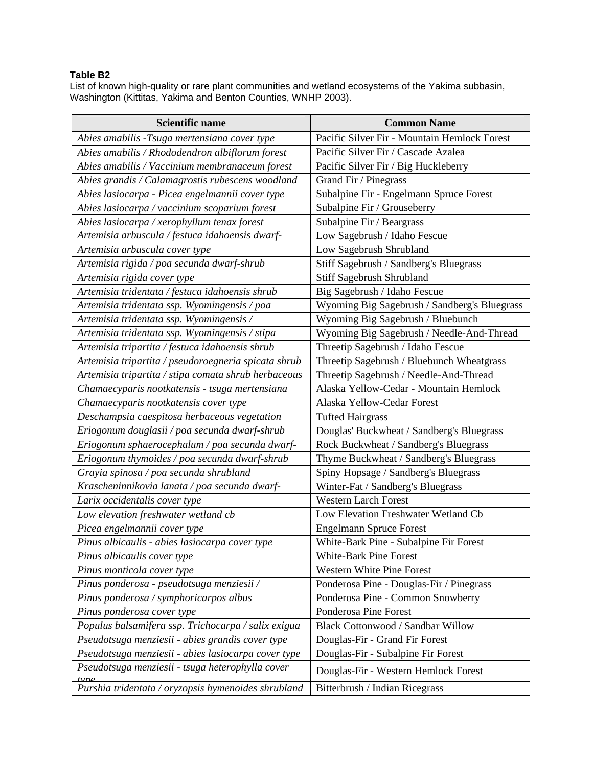## **Table B2**

List of known high-quality or rare plant communities and wetland ecosystems of the Yakima subbasin, Washington (Kittitas, Yakima and Benton Counties, WNHP 2003).

| <b>Scientific name</b>                                   | <b>Common Name</b>                           |  |  |
|----------------------------------------------------------|----------------------------------------------|--|--|
| Abies amabilis -Tsuga mertensiana cover type             | Pacific Silver Fir - Mountain Hemlock Forest |  |  |
| Abies amabilis / Rhododendron albiflorum forest          | Pacific Silver Fir / Cascade Azalea          |  |  |
| Abies amabilis / Vaccinium membranaceum forest           | Pacific Silver Fir / Big Huckleberry         |  |  |
| Abies grandis / Calamagrostis rubescens woodland         | Grand Fir / Pinegrass                        |  |  |
| Abies lasiocarpa - Picea engelmannii cover type          | Subalpine Fir - Engelmann Spruce Forest      |  |  |
| Abies lasiocarpa / vaccinium scoparium forest            | Subalpine Fir / Grouseberry                  |  |  |
| Abies lasiocarpa / xerophyllum tenax forest              | Subalpine Fir / Beargrass                    |  |  |
| Artemisia arbuscula / festuca idahoensis dwarf-          | Low Sagebrush / Idaho Fescue                 |  |  |
| Artemisia arbuscula cover type                           | Low Sagebrush Shrubland                      |  |  |
| Artemisia rigida / poa secunda dwarf-shrub               | Stiff Sagebrush / Sandberg's Bluegrass       |  |  |
| Artemisia rigida cover type                              | Stiff Sagebrush Shrubland                    |  |  |
| Artemisia tridentata / festuca idahoensis shrub          | Big Sagebrush / Idaho Fescue                 |  |  |
| Artemisia tridentata ssp. Wyomingensis / poa             | Wyoming Big Sagebrush / Sandberg's Bluegrass |  |  |
| Artemisia tridentata ssp. Wyomingensis /                 | Wyoming Big Sagebrush / Bluebunch            |  |  |
| Artemisia tridentata ssp. Wyomingensis / stipa           | Wyoming Big Sagebrush / Needle-And-Thread    |  |  |
| Artemisia tripartita / festuca idahoensis shrub          | Threetip Sagebrush / Idaho Fescue            |  |  |
| Artemisia tripartita / pseudoroegneria spicata shrub     | Threetip Sagebrush / Bluebunch Wheatgrass    |  |  |
| Artemisia tripartita / stipa comata shrub herbaceous     | Threetip Sagebrush / Needle-And-Thread       |  |  |
| Chamaecyparis nootkatensis - tsuga mertensiana           | Alaska Yellow-Cedar - Mountain Hemlock       |  |  |
| Chamaecyparis nootkatensis cover type                    | Alaska Yellow-Cedar Forest                   |  |  |
| Deschampsia caespitosa herbaceous vegetation             | <b>Tufted Hairgrass</b>                      |  |  |
| Eriogonum douglasii / poa secunda dwarf-shrub            | Douglas' Buckwheat / Sandberg's Bluegrass    |  |  |
| Eriogonum sphaerocephalum / poa secunda dwarf-           | Rock Buckwheat / Sandberg's Bluegrass        |  |  |
| Eriogonum thymoides / poa secunda dwarf-shrub            | Thyme Buckwheat / Sandberg's Bluegrass       |  |  |
| Grayia spinosa / poa secunda shrubland                   | Spiny Hopsage / Sandberg's Bluegrass         |  |  |
| Krascheninnikovia lanata / poa secunda dwarf-            | Winter-Fat / Sandberg's Bluegrass            |  |  |
| Larix occidentalis cover type                            | <b>Western Larch Forest</b>                  |  |  |
| Low elevation freshwater wetland cb                      | Low Elevation Freshwater Wetland Cb          |  |  |
| Picea engelmannii cover type                             | <b>Engelmann Spruce Forest</b>               |  |  |
| Pinus albicaulis - abies lasiocarpa cover type           | White-Bark Pine - Subalpine Fir Forest       |  |  |
| Pinus albicaulis cover type                              | White-Bark Pine Forest                       |  |  |
| Pinus monticola cover type                               | Western White Pine Forest                    |  |  |
| Pinus ponderosa - pseudotsuga menziesii /                | Ponderosa Pine - Douglas-Fir / Pinegrass     |  |  |
| Pinus ponderosa / symphoricarpos albus                   | Ponderosa Pine - Common Snowberry            |  |  |
| Pinus ponderosa cover type                               | Ponderosa Pine Forest                        |  |  |
| Populus balsamifera ssp. Trichocarpa / salix exigua      | Black Cottonwood / Sandbar Willow            |  |  |
| Pseudotsuga menziesii - abies grandis cover type         | Douglas-Fir - Grand Fir Forest               |  |  |
| Pseudotsuga menziesii - abies lasiocarpa cover type      | Douglas-Fir - Subalpine Fir Forest           |  |  |
| Pseudotsuga menziesii - tsuga heterophylla cover<br>tyne | Douglas-Fir - Western Hemlock Forest         |  |  |
| Purshia tridentata / oryzopsis hymenoides shrubland      | Bitterbrush / Indian Ricegrass               |  |  |